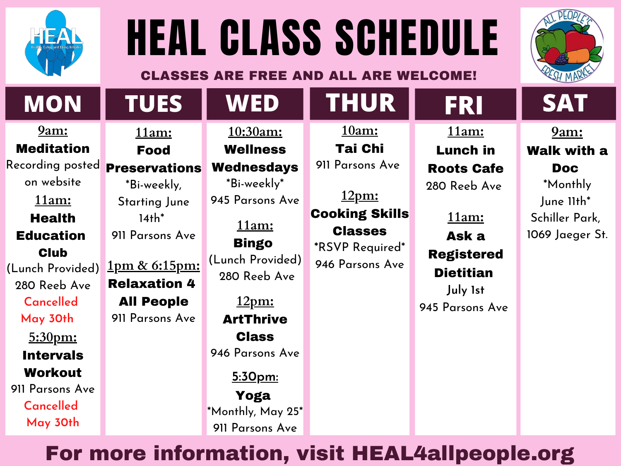



# HEAL CLASS SCHEDULE CLASSES ARE FREE AND ALL ARE WELCOME!

## For more information, visit HEAL4allpeople.org

#### **9am:** Meditation

Recording posted on website **11am: Health** Education **Club** (Lunch Provided) 280 Reeb Ave **Cancelled May 30th**

**5:30pm:** Intervals Workout 911 Parsons Ave **Cancelled May 30th**

**11am:**

#### Food

#### Preservations

\*Bi-weekly, Starting June  $14th^*$ 911 Parsons Ave

**1pm & 6:15pm:** Relaxation 4 All People 911 Parsons Ave

**10:30am:** Wellness

#### Wednesdays

\*Bi-weekly \* 945 Parsons Ave

> **11am:** Bingo

(Lunch Provided) 280 Reeb Ave

#### **12pm:** ArtThrive Class

946 Parsons Ave

**5:30pm:** Yoga \*Monthly, May 25\* 911 Parsons Ave

**11am:** Lunch in Roots Cafe 280 Reeb Ave

**11am:** Ask a Registered Dietitian **July 1st**

945 Parsons Ave



**10am:** Tai Chi 911 Parsons Ave

**12pm:** Cooking Skills Classes

**\***RSVP Required\* 946 Parsons Ave

**9am:** Walk with a Doc \*Monthly June 11th\* Schiller Park, 1069 Jaeger St.